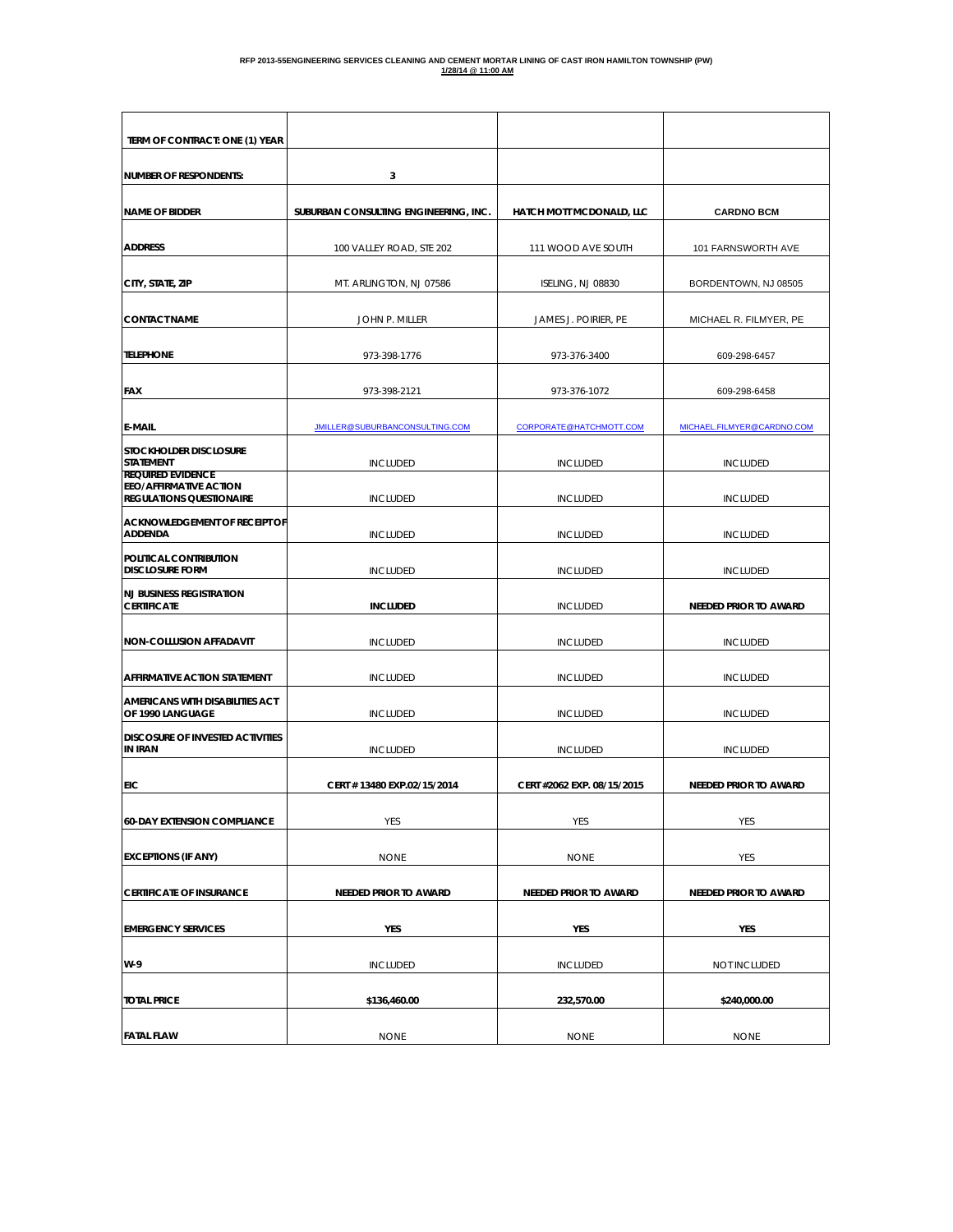| TERM OF CONTRACT: ONE (1) YEAR                                                        |                                       |                            |                              |
|---------------------------------------------------------------------------------------|---------------------------------------|----------------------------|------------------------------|
|                                                                                       |                                       |                            |                              |
| <b>NUMBER OF RESPONDENTS:</b>                                                         | 3                                     |                            |                              |
| <b>NAME OF BIDDER</b>                                                                 | SUBURBAN CONSULTING ENGINEERING, INC. | HATCH MOTT MCDONALD, LLC   | <b>CARDNO BCM</b>            |
| <b>ADDRESS</b>                                                                        | 100 VALLEY ROAD, STE 202              | 111 WOOD AVE SOUTH         | 101 FARNSWORTH AVE           |
| CITY, STATE, ZIP                                                                      | MT. ARLINGTON, NJ 07586               | ISELING, NJ 08830          | BORDENTOWN, NJ 08505         |
| <b>CONTACT NAME</b>                                                                   | JOHN P. MILLER                        | JAMES J. POIRIER, PE       | MICHAEL R. FILMYER, PE       |
| <b>TELEPHONE</b>                                                                      | 973-398-1776                          | 973-376-3400               | 609-298-6457                 |
| <b>FAX</b>                                                                            | 973-398-2121                          | 973-376-1072               | 609-298-6458                 |
| <b>E-MAIL</b>                                                                         | JMILLER@SUBURBANCONSULTING.COM        | CORPORATE@HATCHMOTT.COM    | MICHAEL.FILMYER@CARDNO.COM   |
| STOCKHOLDER DISCLOSURE<br><b>STATEMENT</b>                                            | <b>INCLUDED</b>                       | <b>INCLUDED</b>            | <b>INCLUDED</b>              |
| <b>REQUIRED EVIDENCE</b><br>EEO/AFFIRMATIVE ACTION<br><b>REGULATIONS QUESTIONAIRE</b> | <b>INCLUDED</b>                       | <b>INCLUDED</b>            | <b>INCLUDED</b>              |
| ACKNOWLEDGEMENT OF RECEIPT OF<br><b>ADDENDA</b>                                       | <b>INCLUDED</b>                       | <b>INCLUDED</b>            | <b>INCLUDED</b>              |
| POLITICAL CONTRIBUTION<br><b>DISCLOSURE FORM</b>                                      | <b>INCLUDED</b>                       | <b>INCLUDED</b>            | <b>INCLUDED</b>              |
| <b>NJ BUSINESS REGISTRATION</b><br><b>CERTIFICATE</b>                                 | <b>INCLUDED</b>                       | <b>INCLUDED</b>            | <b>NEEDED PRIOR TO AWARD</b> |
| <b>NON-COLLUSION AFFADAVIT</b>                                                        | <b>INCLUDED</b>                       | <b>INCLUDED</b>            | <b>INCLUDED</b>              |
| AFFIRMATIVE ACTION STATEMENT                                                          | <b>INCLUDED</b>                       | <b>INCLUDED</b>            | <b>INCLUDED</b>              |
| AMERICANS WITH DISABILITIES ACT<br>OF 1990 LANGUAGE                                   | <b>INCLUDED</b>                       | <b>INCLUDED</b>            | <b>INCLUDED</b>              |
| <b>DISCOSURE OF INVESTED ACTIVITIES</b><br><b>IN IRAN</b>                             | <b>INCLUDED</b>                       | <b>INCLUDED</b>            | <b>INCLUDED</b>              |
| EIC                                                                                   | CERT # 13480 EXP.02/15/2014           | CERT #2062 EXP. 08/15/2015 | NEEDED PRIOR TO AWARD        |
| <b>60-DAY EXTENSION COMPLIANCE</b>                                                    | <b>YES</b>                            | YES                        | YES                          |
| <b>EXCEPTIONS (IF ANY)</b>                                                            | <b>NONE</b>                           | <b>NONE</b>                | YES                          |
| <b>CERTIFICATE OF INSURANCE</b>                                                       | <b>NEEDED PRIOR TO AWARD</b>          | NEEDED PRIOR TO AWARD      | NEEDED PRIOR TO AWARD        |
| <b>EMERGENCY SERVICES</b>                                                             | YES                                   | YES                        | YES                          |
| W-9                                                                                   | <b>INCLUDED</b>                       | <b>INCLUDED</b>            | NOT INCLUDED                 |
| <b>TOTAL PRICE</b>                                                                    | \$136,460.00                          | 232,570.00                 | \$240,000.00                 |
| <b>FATAL FLAW</b>                                                                     | <b>NONE</b>                           | <b>NONE</b>                | <b>NONE</b>                  |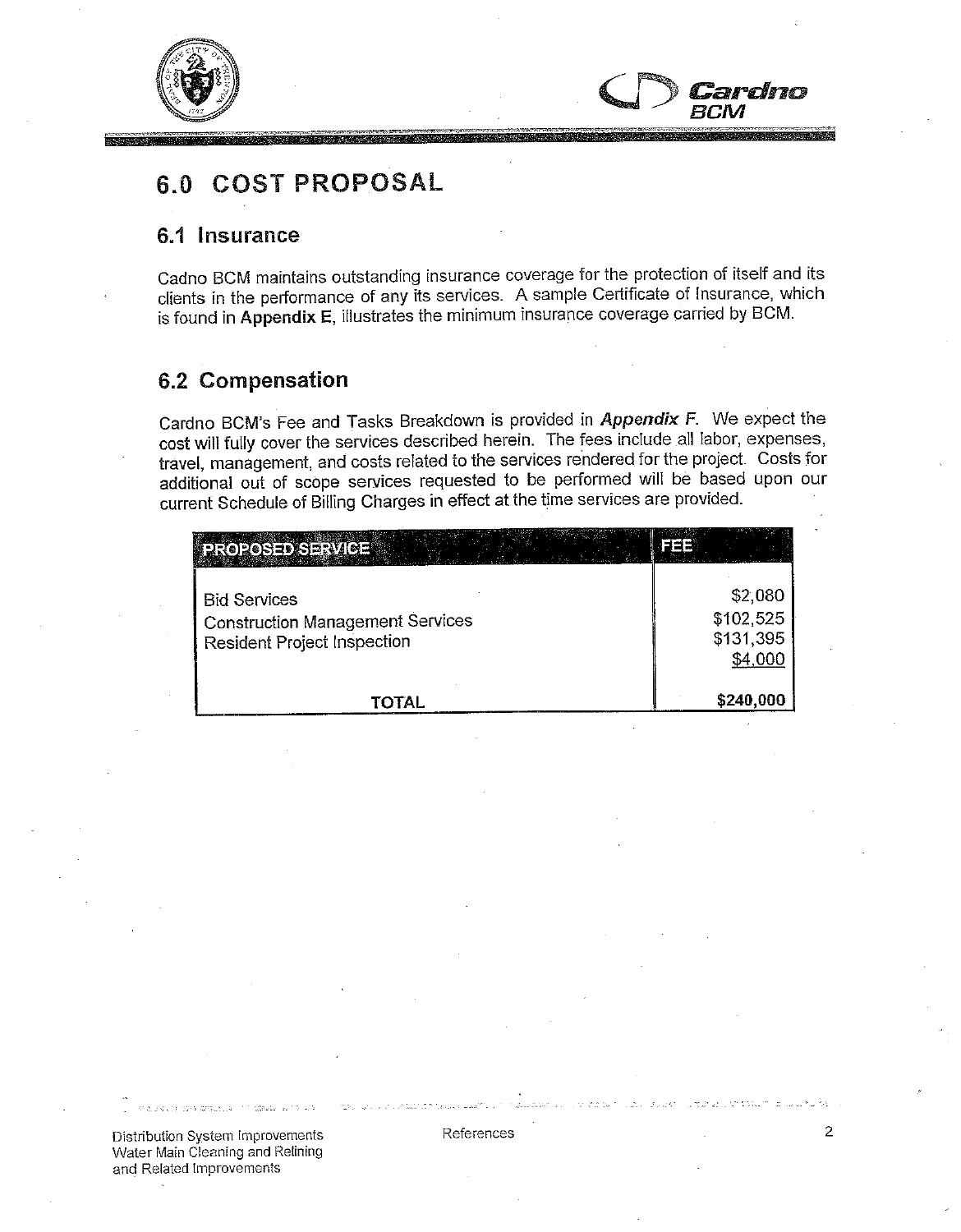



# 6.0 COST PROPOSAL

### 6.1 Insurance

Cadno BCM maintains outstanding insurance coverage for the protection of itself and its clients in the performance of any its services. A sample Certificate of Insurance, which is found in Appendix E, illustrates the minimum insurance coverage carried by BCM.

### **6.2 Compensation**

Cardno BCM's Fee and Tasks Breakdown is provided in Appendix F. We expect the cost will fully cover the services described herein. The fees include all labor, expenses, travel, management, and costs related to the services rendered for the project. Costs for additional out of scope services requested to be performed will be based upon our current Schedule of Billing Charges in effect at the time services are provided.

| PROPOSED SERVICE.                                                                             |                                              |
|-----------------------------------------------------------------------------------------------|----------------------------------------------|
| <b>Bid Services</b><br><b>Construction Management Services</b><br>Resident Project Inspection | \$2,080<br>\$102,525<br>\$131,395<br>\$4,000 |
| TOTAL                                                                                         | \$240,000                                    |

Distribution System Improvements Water Main Cleaning and Relining and Related Improvements

ks will know the significant dis-

References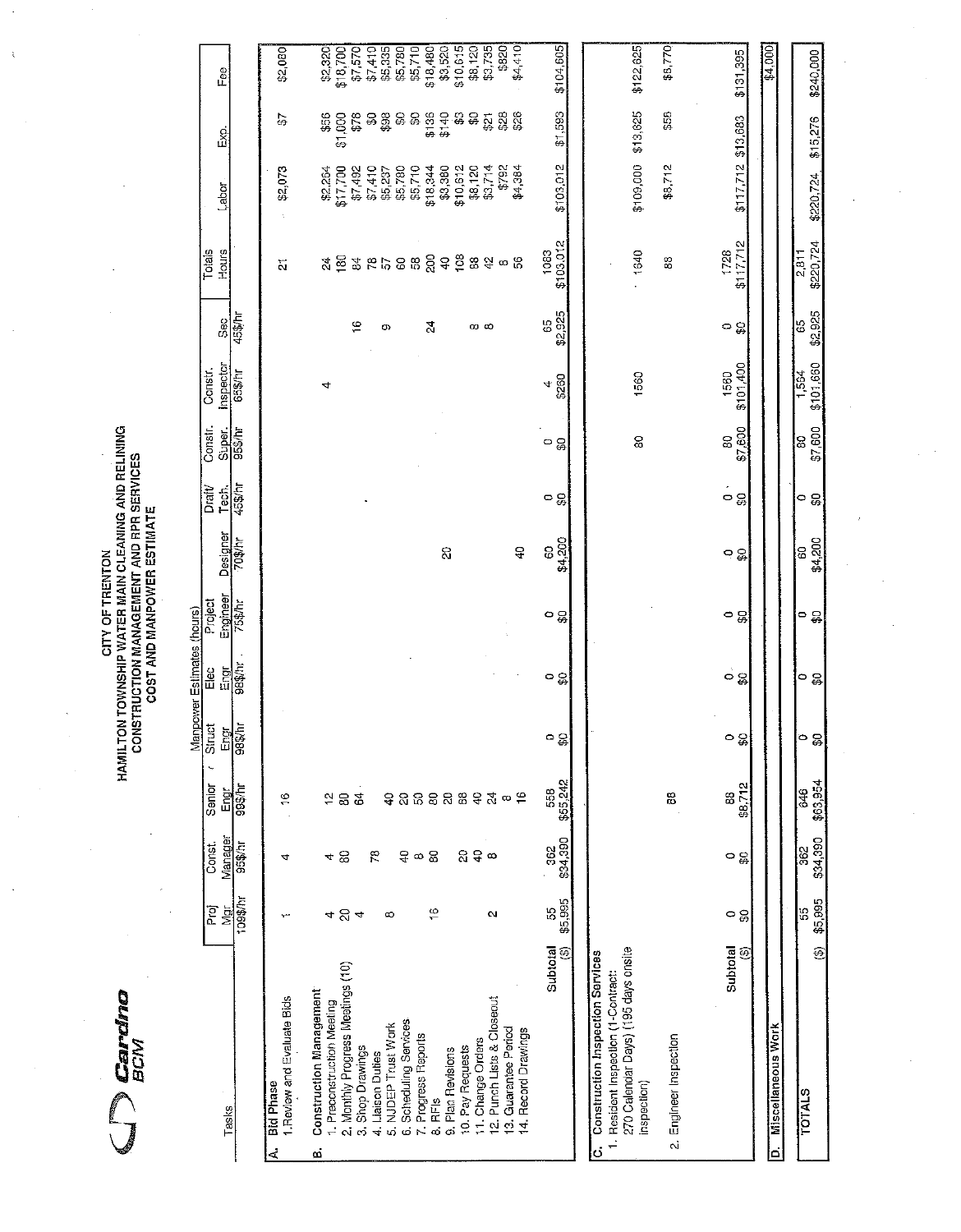$\bigcap_{BCM}$ 

# CITY OF TRENTON<br>HAMILTON TOWNSHIP WATER MAIN CLEANING AND RELINING<br>CONSTRUCTION MANAGEMENT AND RPR SERVICES<br>COST AND MANPOWER ESTIMATE

 $\bar{\gamma}$ 

j,

|                         |                                                                                                                |                   |                                 |                             |                         | Manpower Estimates (hours) |                     |                     |                                |                   |                      |               |                         |                                          |                 |                               |
|-------------------------|----------------------------------------------------------------------------------------------------------------|-------------------|---------------------------------|-----------------------------|-------------------------|----------------------------|---------------------|---------------------|--------------------------------|-------------------|----------------------|---------------|-------------------------|------------------------------------------|-----------------|-------------------------------|
|                         |                                                                                                                | Proj<br>Ngj       | Const.                          | Senior                      | Struct                  | Elec                       | Project             |                     | Draft/<br>Tech.                | Constr.<br>Super. | Inspector<br>Constr. | Sec           | Hours<br>Totals         | Labor                                    | نع<br>آ         | Fee                           |
|                         | Tasks                                                                                                          | 109\$/hr          | Manager<br>95\$/hr              | 99\$/hr<br>Engr             | $\frac{1}{985}$<br>Engr | <b>Jugae</b><br>Engr       | Engineer<br>75\$/hr | Designer<br>70\$/hr | 45\$/hr                        | 95\$/hr           | 65\$/hr              | 45\$/hr       |                         |                                          |                 |                               |
| d                       | 1. Review and Evaluate Bids<br><b>Bid Phase</b>                                                                |                   | 4                               | $\frac{6}{1}$               |                         |                            |                     |                     |                                |                   |                      |               | $\overline{\mathbf{N}}$ | \$2,073                                  | 45              | \$2,080                       |
| ø                       | <b>Construction Management</b>                                                                                 |                   |                                 |                             |                         |                            |                     |                     |                                |                   |                      |               |                         |                                          |                 |                               |
|                         | 1. Preconstruction Meeting                                                                                     |                   |                                 |                             |                         |                            |                     |                     |                                |                   | 4                    |               | 24                      | \$2,264                                  | \$56            | \$2,320                       |
|                         | 2. Monthly Progress Meetings (10)                                                                              | ৰ প্ৰ ৰ           | 48                              | 283                         |                         |                            |                     |                     |                                |                   |                      |               | $\frac{80}{2}$          | \$17,700                                 | 500<br>.<br>स्र | \$18,700                      |
|                         | 3. Shop Drawings                                                                                               |                   |                                 |                             |                         |                            |                     |                     |                                |                   |                      | $\frac{6}{1}$ |                         | \$7,492                                  | \$78            |                               |
|                         |                                                                                                                |                   | ξē                              |                             |                         |                            |                     |                     |                                |                   |                      |               | 88722                   | \$7,410<br>\$5,237<br>\$5,780<br>\$5,710 | <u>အီ</u>       | \$7,410<br>\$5,335<br>\$5,780 |
|                         | 4. Liaison Duties<br>5. NJDEP Trust Work                                                                       | $\infty$          |                                 |                             |                         |                            |                     |                     |                                |                   |                      | O)            |                         |                                          |                 |                               |
|                         | 6. Scheduling Services                                                                                         |                   |                                 |                             |                         |                            |                     |                     |                                |                   |                      |               |                         |                                          | မ္ဟ မ္ဟ         |                               |
|                         | 7. Progress Reports                                                                                            |                   | දී ∞ සි                         |                             |                         |                            |                     |                     |                                |                   |                      |               |                         |                                          |                 | \$5,710                       |
|                         | 8. RFIS                                                                                                        | $\frac{6}{5}$     |                                 |                             |                         |                            |                     |                     |                                |                   |                      | 54            | $\frac{5}{6}$           | \$18,344                                 | \$136           | $$18,480$<br>$$3,520$         |
|                         | 9. Plan Revisions                                                                                              |                   |                                 |                             |                         |                            |                     | $\Omega$            |                                |                   |                      |               |                         | \$3,380                                  | \$140           |                               |
|                         | 10. Pay Requests                                                                                               |                   |                                 |                             |                         |                            |                     |                     |                                |                   |                      |               | 108                     | \$10,612                                 | ន្លន            | \$10,615                      |
|                         | 11. Change Orders                                                                                              |                   |                                 |                             |                         |                            |                     |                     |                                |                   |                      | က ထ           | $^{\circ}_{\infty}$     | \$8,120                                  |                 | \$8,120                       |
|                         | 12. Punch Lists & Closeout                                                                                     | $\mathbf{\Omega}$ | $\mathfrak{g} \in \mathfrak{g}$ |                             |                         |                            |                     |                     |                                |                   |                      |               |                         | \$3,714                                  |                 | \$3,735                       |
|                         | 13. Guarantee Period                                                                                           |                   |                                 |                             |                         |                            |                     |                     |                                |                   |                      |               | $2\sigma$ 8             | \$792                                    | ឆ្លូឌីឌី        | \$820                         |
|                         | 14. Record Drawings                                                                                            |                   |                                 | ទ្នកួតខ្លួនទង្∞ុ            |                         |                            |                     | $\Delta$            |                                |                   |                      |               |                         | \$4,384                                  |                 | \$4,410                       |
|                         | Subtotal                                                                                                       | 58                | 362                             |                             |                         |                            |                     | $\overline{0}$      |                                | ၁ ္တ              | 4                    | 65            | 1083                    |                                          |                 |                               |
|                         | ⊕                                                                                                              | \$5,995           | \$34,390                        | 558<br>\$55,242             | ె ఛ                     | ం ఇ                        | ၀ ္တ                | \$4,200             | ၀ ္တ                           |                   | \$260                | \$2,925       | \$103,012               | \$103,012                                | \$1,593         | \$104,605                     |
|                         |                                                                                                                |                   |                                 |                             |                         |                            |                     |                     |                                |                   |                      |               |                         |                                          |                 |                               |
|                         | 270 Calendar Days) (195 days onsite<br>C. Construction Inspection Services<br>Resident Inspection (1-Contract: |                   |                                 |                             |                         |                            |                     |                     |                                |                   |                      |               |                         |                                          |                 |                               |
|                         | inspection)                                                                                                    |                   |                                 |                             |                         |                            |                     |                     |                                | 80                | 1560                 |               | 1640                    | \$109,000                                | \$13,625        | \$122,625                     |
| $\overline{\mathbf{N}}$ | Engineer Inspection                                                                                            |                   |                                 | 88                          |                         |                            |                     |                     |                                |                   |                      |               | 88                      | \$8.712                                  | \$58            | \$8,770                       |
|                         |                                                                                                                |                   |                                 |                             |                         |                            |                     |                     |                                |                   |                      |               |                         |                                          |                 |                               |
|                         | Subtotal<br>⊕                                                                                                  | ం ఇ్ల             | ၀ ႙ၟ                            | 88,712<br>\$8,712           | o<br>င္တ                | ၀ ႙ၟ၊                      | ၀ ႙ၟ                | ၀ ္တ                | $\circ$ $\frac{\circ}{\omega}$ | \$7,600<br>g      | \$101,400<br>1560    | ခ ္အ          | \$117,712<br>1728       | \$117,712                                | \$13,683        | \$131,395                     |
|                         |                                                                                                                |                   |                                 |                             |                         |                            |                     |                     |                                |                   |                      |               |                         |                                          |                 |                               |
| ۱ä                      | <b>Miscellaneous Work</b>                                                                                      |                   |                                 |                             |                         |                            |                     |                     |                                |                   |                      |               |                         |                                          |                 | \$4,000                       |
|                         |                                                                                                                |                   |                                 |                             |                         |                            |                     |                     |                                |                   |                      |               |                         |                                          |                 |                               |
|                         | é<br><b>COTALS</b>                                                                                             | \$5.995<br>55     | \$34,390<br>362                 | \$63.954<br>$\frac{646}{5}$ | g                       | ం ఇ                        | ం ఇ                 | \$4,200<br>8        | ၀ ႙ၟ                           | \$7,600<br>S      | \$101,660<br>1,564   | \$2,925<br>65 | \$220,724<br>2811       | \$220,724                                | \$15,276        | \$240,000                     |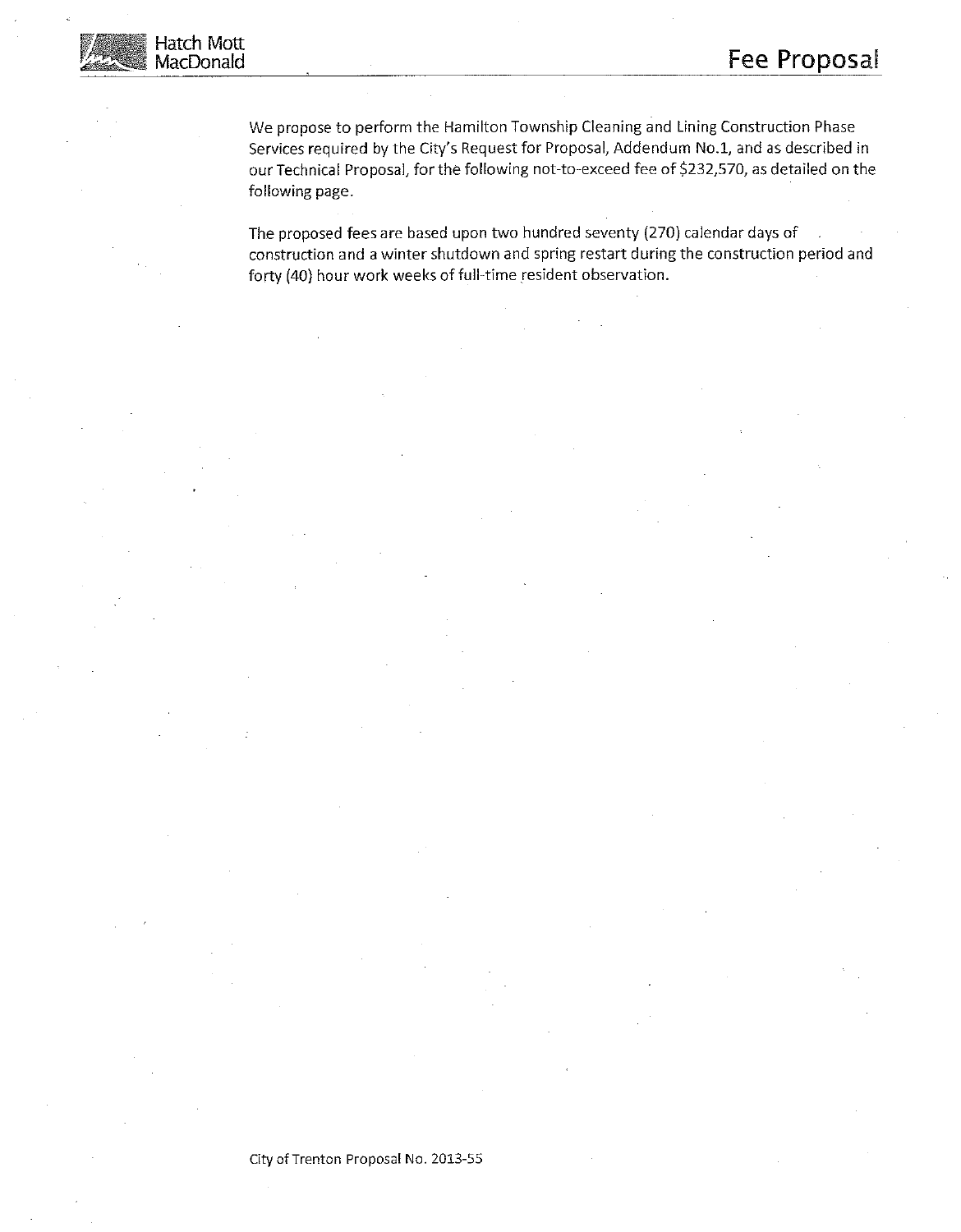

We propose to perform the Hamilton Township Cleaning and Lining Construction Phase Services required by the City's Request for Proposal, Addendum No.1, and as described in our Technical Proposal, for the following not-to-exceed fee of \$232,570, as detailed on the following page.

The proposed fees are based upon two hundred seventy (270) calendar days of construction and a winter shutdown and spring restart during the construction period and forty (40) hour work weeks of full-time resident observation.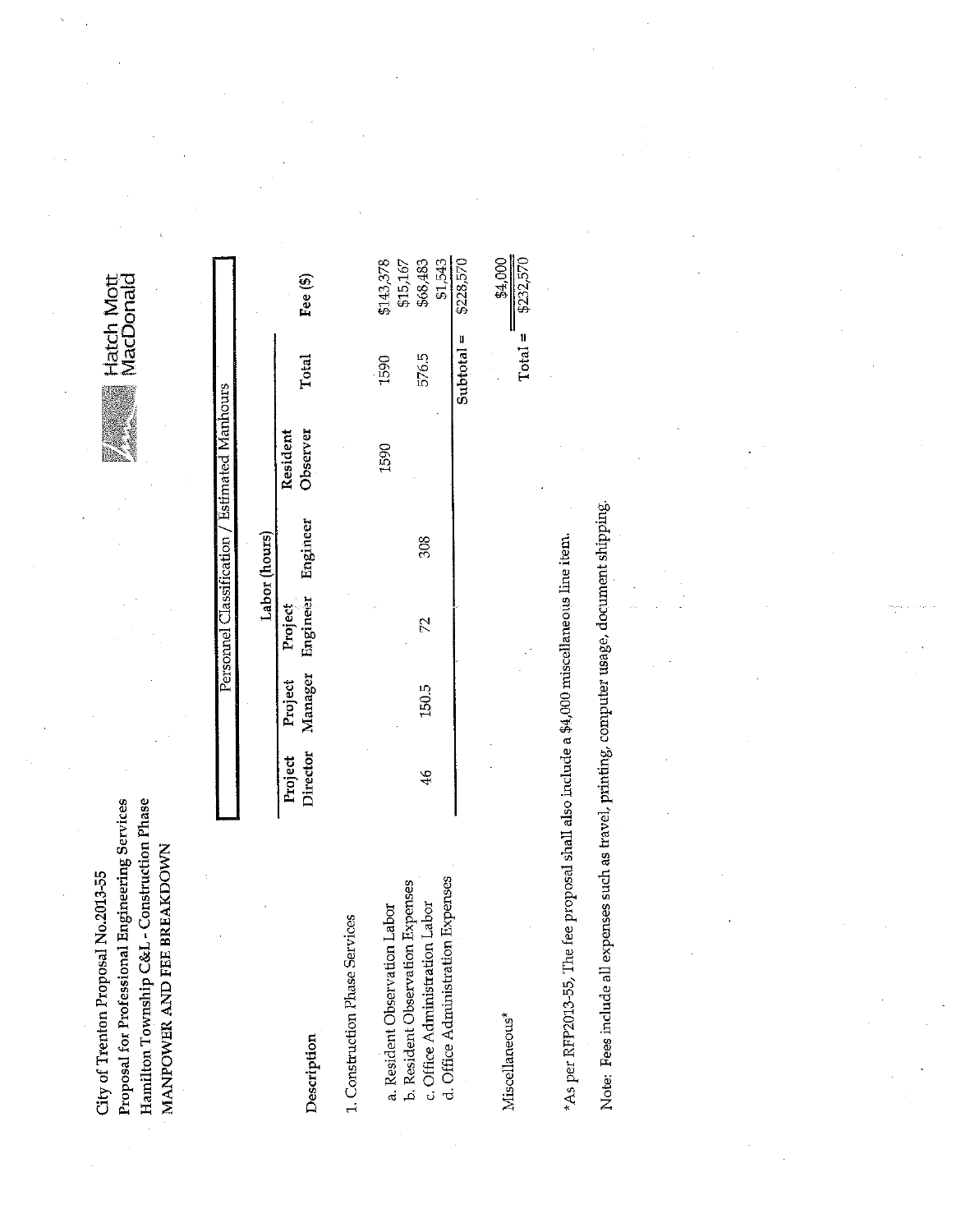Hamilton Township C&L - Construction Phase Proposal for Professional Engineering Services MANPOWER AND FEE BREAKDOWN City of Trenton Proposal No.2013-55

|                                                                                             |                     |                    |                            |               | Personnel Classification / Estimated Manhours |              |                       |
|---------------------------------------------------------------------------------------------|---------------------|--------------------|----------------------------|---------------|-----------------------------------------------|--------------|-----------------------|
|                                                                                             |                     |                    |                            | Labor (hours) |                                               |              |                       |
| Description                                                                                 | Director<br>Project | Manager<br>Project | Engineer<br><b>Project</b> | Engineer      | Observer<br>Resident                          | Total        | Fee $(\$)$            |
| . Construction Phase Services                                                               |                     |                    |                            |               |                                               |              |                       |
| a. Resident Observation Labor                                                               |                     |                    |                            |               | 1590                                          | 1590         | \$143,378<br>\$15,167 |
| b. Resident Observation Expenses<br>c. Office Administration Labor                          | $\frac{4}{6}$       | 150.5              | 72                         | 308           |                                               | 576.5        | \$68,483<br>\$1,543   |
| d. Office Administration Expenses                                                           |                     |                    |                            |               |                                               | $Subtotal =$ | \$228,570             |
| Miscellaneous*                                                                              |                     |                    |                            |               |                                               |              | \$4,000               |
|                                                                                             |                     |                    |                            |               |                                               | $Total =$    | \$232,570             |
| *As per RFP2013-55, The fee proposal shall also include a $$4,000$ miscellaneous line item. |                     |                    |                            |               |                                               |              |                       |

Note: Fees include all expenses such as travel, printing, computer usage, document shipping.

Ħ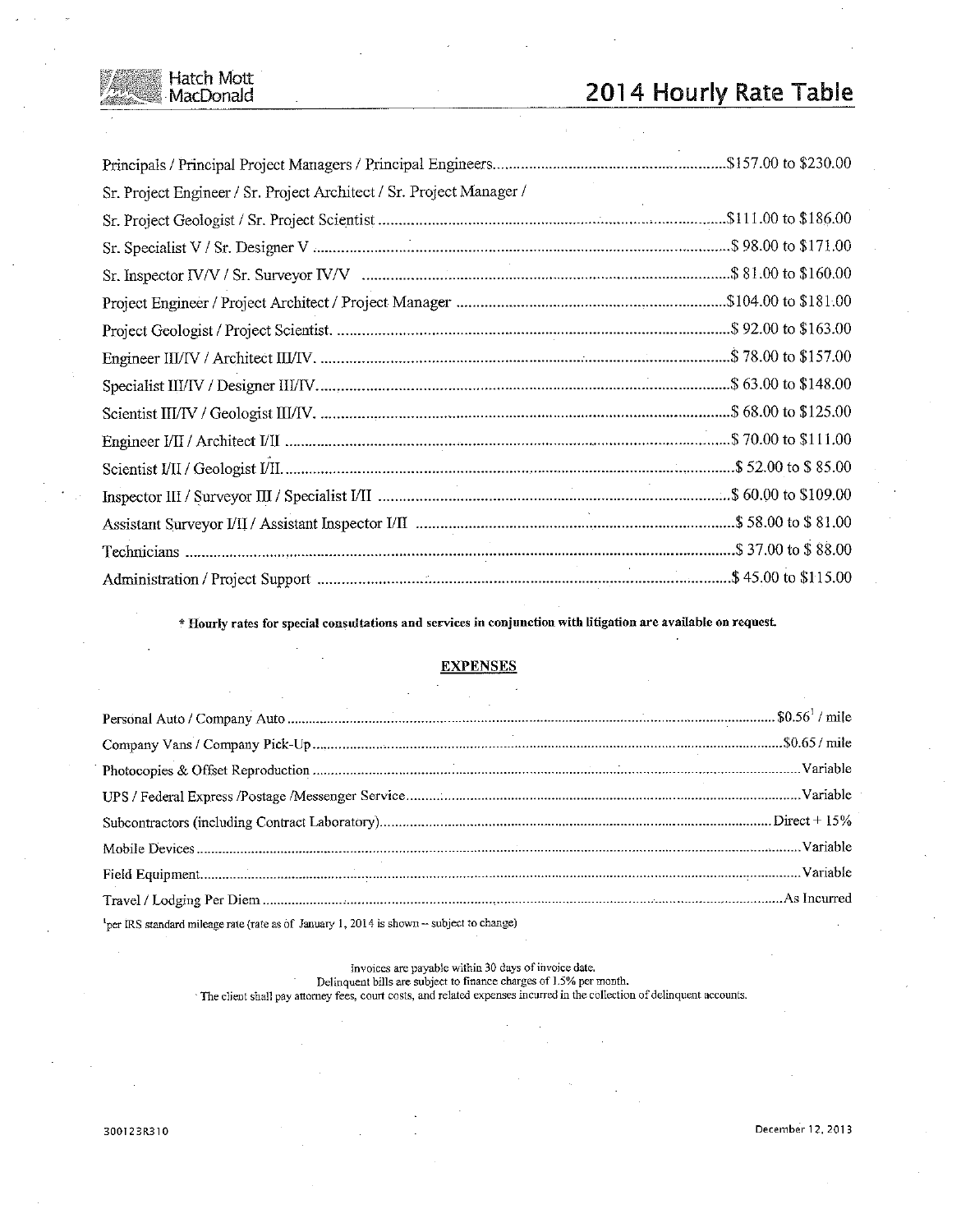# 2014 Hourly Rate Table

| Sr. Project Engineer / Sr. Project Architect / Sr. Project Manager / |  |
|----------------------------------------------------------------------|--|
|                                                                      |  |
|                                                                      |  |
|                                                                      |  |
|                                                                      |  |
|                                                                      |  |
|                                                                      |  |
|                                                                      |  |
|                                                                      |  |
|                                                                      |  |
|                                                                      |  |
|                                                                      |  |
|                                                                      |  |
|                                                                      |  |
|                                                                      |  |

\* Hourly rates for special consultations and services in conjunction with litigation are available on request.

### **EXPENSES**

| $\frac{1}{2}$ per IRS standard mileage rate (rate as of January 1, 2014 is shown – subject to change) |  |
|-------------------------------------------------------------------------------------------------------|--|

Invoices are payable within 30 days of invoice date.<br>Delinquent bills are subject to finance charges of  $1.5\%$  per month. The client shall pay attorney fees, court costs, and related expenses incurred in the collection of delinquent accounts.

Hatch Mott<br>MacDonald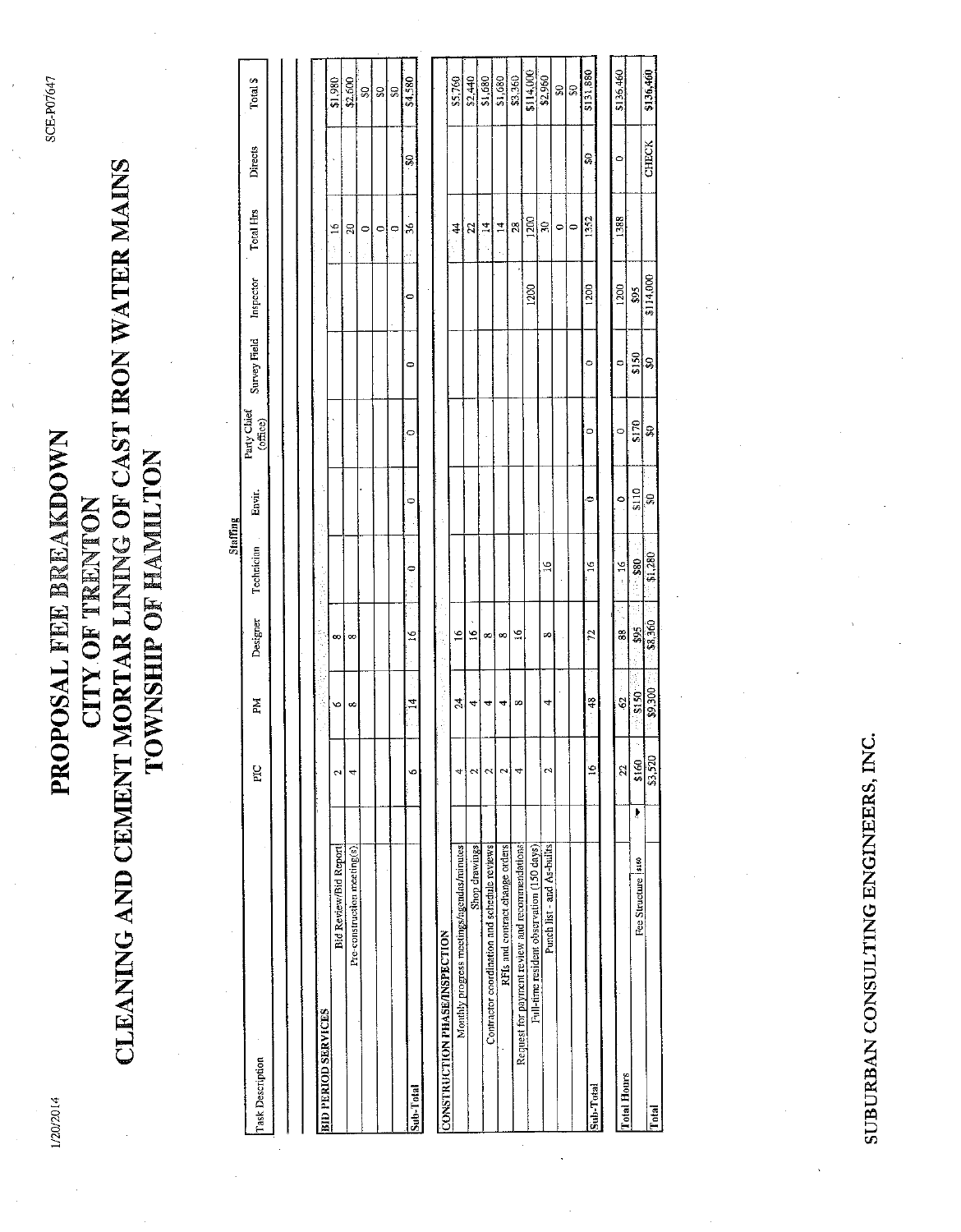1/20/2014

SCE-P07647

# CLEANING AND CEMENT MORTAR LINING OF CAST IRON WATER MAINS PROPOSAL FEE BREAKDOWN TOWNSHIP OF HAMILTON **CITY OF TRENTON**

|                                                |                |            |               | Staffing       |           |                            |              |           |                |         |           |
|------------------------------------------------|----------------|------------|---------------|----------------|-----------|----------------------------|--------------|-----------|----------------|---------|-----------|
| Task Description                               | PIC            | ΣÃ         | Designer      | Technician     | Envir.    | Party Claier<br>(of the c) | Survey Field | Inspector | Total Hrs      | Directs | Total \$  |
|                                                |                |            |               |                |           |                            |              |           |                |         |           |
|                                                |                |            |               |                |           |                            |              |           |                |         |           |
|                                                |                |            |               |                |           |                            |              |           |                |         |           |
| BID PERIOD SERVICES                            |                |            |               |                |           |                            |              |           |                |         |           |
| <b>Bid Review/Bid Report</b>                   | 2              | v          | $\infty$      |                |           |                            |              |           | $\frac{6}{2}$  |         | \$1,980   |
| Pre-construction meeting(s).                   | 4              | $\infty$   | œ             |                |           |                            |              |           | g              |         | \$2,600   |
|                                                |                |            |               |                |           |                            |              |           | $\circ$        |         | 잃         |
|                                                |                |            |               |                |           |                            |              |           | ۰              |         | S         |
|                                                |                |            |               |                |           |                            |              |           | $\circ$        |         | S         |
| Sub-Total                                      | Ø              | $\vec{r}$  | $\tilde{a}$   | ٥              | 0         | 0                          | 0            | $\bullet$ | 36             | S       | \$4,580   |
|                                                |                |            |               |                |           |                            |              |           |                |         |           |
| <b>CONSTRUCTION PHASE/INSPECTION</b>           |                | 经无法承兑 医皮炎  | þ             |                |           |                            |              |           |                |         |           |
| Monthly progress meetings/agendas/minutes      | 4              | Ź,         | $\frac{6}{1}$ |                |           |                            |              |           | $\frac{4}{3}$  |         | \$5,760   |
| Shop drawings                                  | $\sim$         | 4          | $\tilde{a}$   |                |           |                            |              |           | 25             |         | \$2,440   |
| Contractor coordination and schedule reviews   | $\sim$         | 4          | ∞!            |                |           |                            |              |           | $\frac{4}{3}$  |         | 51,680    |
| RFIs and contract change orders                | إب             | 4          | œ             |                |           |                            |              |           | $\overline{1}$ |         | \$1,680   |
| Request for payment review and recommendations | 4              | co         | $\tilde{a}$   |                |           |                            |              |           | $\mathbb{S}$   |         | \$3,360   |
| Full-time resident observation (150 days)      |                |            |               |                |           |                            |              | 1200      | 1200           |         | \$114,000 |
| Punch list - and As-builts                     | $\mathfrak{a}$ | 4          | œ             | $\tilde{=}$    |           |                            |              |           | Ğ,             |         | \$2,960   |
|                                                |                |            |               |                |           |                            |              |           | $\circ$        |         | g         |
|                                                |                |            |               |                |           |                            |              |           | 0              |         | Ş         |
| Sub-Total                                      | $\tilde{=}$    | æ          | 72            | $\frac{6}{1}$  | $\bullet$ | $\circ$                    | $\circ$      | 1200      | 1352           | O)      | \$131,880 |
|                                                |                |            |               |                |           |                            |              |           |                |         |           |
| <b>Total Hours</b>                             | 22             | $-29$      | $-88$         | $\frac{51}{2}$ | $\circ$   | $\circ$                    | 0            | 1200      | 1388           | ۰       | \$136,460 |
| Fee Structure  \$160                           | \$160<br>Ļ     | \$150<br>ŧ | \$95<br>j.    | $-880$         | \$110     | \$170                      | \$150        | \$95      |                |         |           |
|                                                |                |            |               |                |           |                            |              |           |                |         |           |

\$136,460

**CHECK** 

ន្ល

**ta** 300

Total

SUBURBAN CONSULTING ENGINEERS, INC.